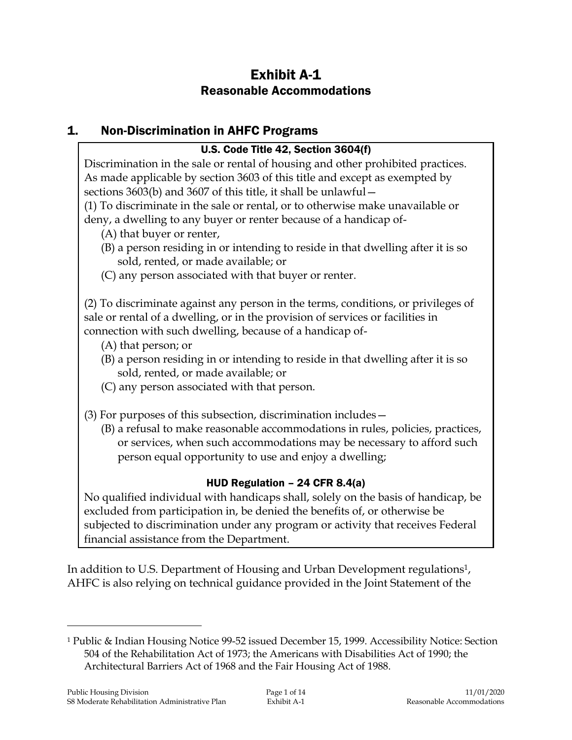# Exhibit A-1 Reasonable Accommodations

## 1. Non-Discrimination in AHFC Programs

### U.S. Code Title 42, Section 3604(f)

Discrimination in the sale or rental of housing and other prohibited practices. As made applicable by section 3603 of this title and except as exempted by sections 3603(b) and 3607 of this title, it shall be unlawful—

(1) To discriminate in the sale or rental, or to otherwise make unavailable or deny, a dwelling to any buyer or renter because of a handicap of-

- (A) that buyer or renter,
- (B) a person residing in or intending to reside in that dwelling after it is so sold, rented, or made available; or
- (C) any person associated with that buyer or renter.

(2) To discriminate against any person in the terms, conditions, or privileges of sale or rental of a dwelling, or in the provision of services or facilities in connection with such dwelling, because of a handicap of-

- (A) that person; or
- (B) a person residing in or intending to reside in that dwelling after it is so sold, rented, or made available; or
- (C) any person associated with that person.
- (3) For purposes of this subsection, discrimination includes—
	- (B) a refusal to make reasonable accommodations in rules, policies, practices, or services, when such accommodations may be necessary to afford such person equal opportunity to use and enjoy a dwelling;

## HUD Regulation – 24 CFR 8.4(a)

No qualified individual with handicaps shall, solely on the basis of handicap, be excluded from participation in, be denied the benefits of, or otherwise be subjected to discrimination under any program or activity that receives Federal financial assistance from the Department.

In addition to U.S. Department of Housing and Urban Development regulations<sup>1</sup>, AHFC is also relying on technical guidance provided in the Joint Statement of the

<sup>1</sup> Public & Indian Housing Notice 99-52 issued December 15, 1999. Accessibility Notice: Section 504 of the Rehabilitation Act of 1973; the Americans with Disabilities Act of 1990; the Architectural Barriers Act of 1968 and the Fair Housing Act of 1988.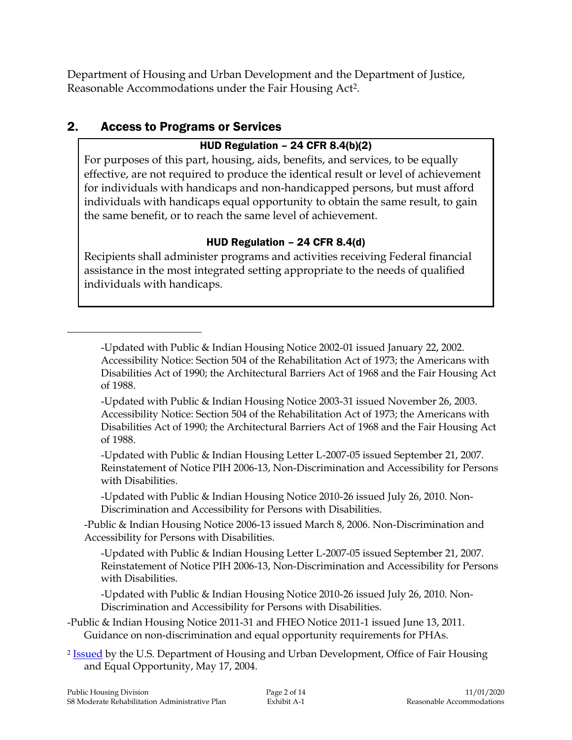Department of Housing and Urban Development and the Department of Justice, Reasonable Accommodations under the Fair Housing Act2.

# 2. Access to Programs or Services

 $\overline{a}$ 

## HUD Regulation – 24 CFR 8.4(b)(2)

For purposes of this part, housing, aids, benefits, and services, to be equally effective, are not required to produce the identical result or level of achievement for individuals with handicaps and non-handicapped persons, but must afford individuals with handicaps equal opportunity to obtain the same result, to gain the same benefit, or to reach the same level of achievement.

## HUD Regulation – 24 CFR 8.4(d)

Recipients shall administer programs and activities receiving Federal financial assistance in the most integrated setting appropriate to the needs of qualified individuals with handicaps.

-Updated with Public & Indian Housing Notice 2002-01 issued January 22, 2002. Accessibility Notice: Section 504 of the Rehabilitation Act of 1973; the Americans with Disabilities Act of 1990; the Architectural Barriers Act of 1968 and the Fair Housing Act of 1988.

-Updated with Public & Indian Housing Notice 2003-31 issued November 26, 2003. Accessibility Notice: Section 504 of the Rehabilitation Act of 1973; the Americans with Disabilities Act of 1990; the Architectural Barriers Act of 1968 and the Fair Housing Act of 1988.

-Updated with Public & Indian Housing Letter L-2007-05 issued September 21, 2007. Reinstatement of Notice PIH 2006-13, Non-Discrimination and Accessibility for Persons with Disabilities.

-Updated with Public & Indian Housing Notice 2010-26 issued July 26, 2010. Non-Discrimination and Accessibility for Persons with Disabilities.

-Public & Indian Housing Notice 2006-13 issued March 8, 2006. Non-Discrimination and Accessibility for Persons with Disabilities.

-Updated with Public & Indian Housing Letter L-2007-05 issued September 21, 2007. Reinstatement of Notice PIH 2006-13, Non-Discrimination and Accessibility for Persons with Disabilities.

-Updated with Public & Indian Housing Notice 2010-26 issued July 26, 2010. Non-Discrimination and Accessibility for Persons with Disabilities.

-Public & Indian Housing Notice 2011-31 and FHEO Notice 2011-1 issued June 13, 2011. Guidance on non-discrimination and equal opportunity requirements for PHAs.

<sup>2</sup> Issued by the U.S. Department of Housing and Urban Development, Office of Fair Housing and Equal Opportunity, May 17, 2004.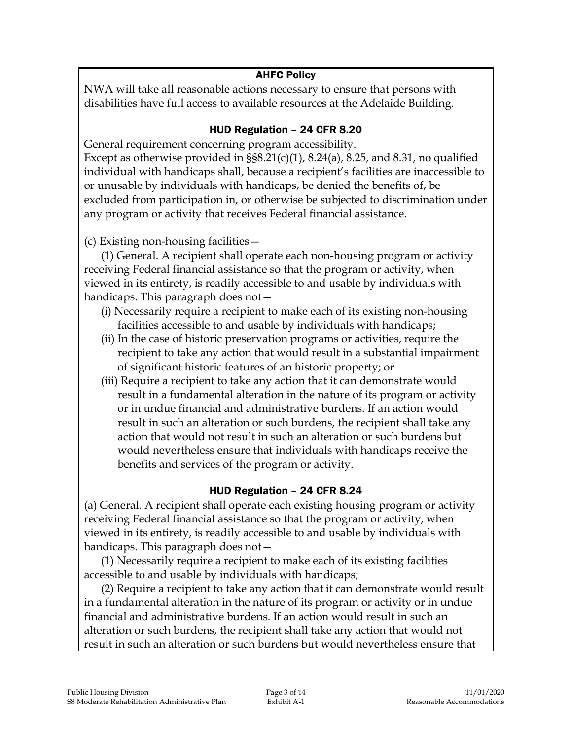#### AHFC Policy

NWA will take all reasonable actions necessary to ensure that persons with disabilities have full access to available resources at the Adelaide Building.

#### HUD Regulation – 24 CFR 8.20

General requirement concerning program accessibility. Except as otherwise provided in  $\S$ §8.21(c)(1), 8.24(a), 8.25, and 8.31, no qualified individual with handicaps shall, because a recipient's facilities are inaccessible to or unusable by individuals with handicaps, be denied the benefits of, be excluded from participation in, or otherwise be subjected to discrimination under any program or activity that receives Federal financial assistance.

(c) Existing non-housing facilities—

(1) General. A recipient shall operate each non-housing program or activity receiving Federal financial assistance so that the program or activity, when viewed in its entirety, is readily accessible to and usable by individuals with handicaps. This paragraph does not—

- (i) Necessarily require a recipient to make each of its existing non-housing facilities accessible to and usable by individuals with handicaps;
- (ii) In the case of historic preservation programs or activities, require the recipient to take any action that would result in a substantial impairment of significant historic features of an historic property; or
- (iii) Require a recipient to take any action that it can demonstrate would result in a fundamental alteration in the nature of its program or activity or in undue financial and administrative burdens. If an action would result in such an alteration or such burdens, the recipient shall take any action that would not result in such an alteration or such burdens but would nevertheless ensure that individuals with handicaps receive the benefits and services of the program or activity.

#### HUD Regulation – 24 CFR 8.24

(a) General. A recipient shall operate each existing housing program or activity receiving Federal financial assistance so that the program or activity, when viewed in its entirety, is readily accessible to and usable by individuals with handicaps. This paragraph does not—

(1) Necessarily require a recipient to make each of its existing facilities accessible to and usable by individuals with handicaps;

(2) Require a recipient to take any action that it can demonstrate would result in a fundamental alteration in the nature of its program or activity or in undue financial and administrative burdens. If an action would result in such an alteration or such burdens, the recipient shall take any action that would not result in such an alteration or such burdens but would nevertheless ensure that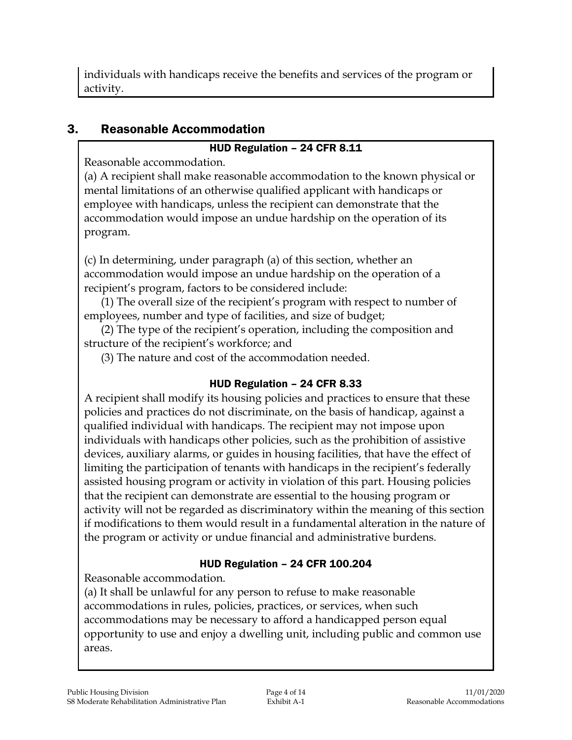individuals with handicaps receive the benefits and services of the program or activity.

# 3. Reasonable Accommodation

## HUD Regulation – 24 CFR 8.11

Reasonable accommodation.

(a) A recipient shall make reasonable accommodation to the known physical or mental limitations of an otherwise qualified applicant with handicaps or employee with handicaps, unless the recipient can demonstrate that the accommodation would impose an undue hardship on the operation of its program.

(c) In determining, under paragraph (a) of this section, whether an accommodation would impose an undue hardship on the operation of a recipient's program, factors to be considered include:

(1) The overall size of the recipient's program with respect to number of employees, number and type of facilities, and size of budget;

(2) The type of the recipient's operation, including the composition and structure of the recipient's workforce; and

(3) The nature and cost of the accommodation needed.

## HUD Regulation – 24 CFR 8.33

A recipient shall modify its housing policies and practices to ensure that these policies and practices do not discriminate, on the basis of handicap, against a qualified individual with handicaps. The recipient may not impose upon individuals with handicaps other policies, such as the prohibition of assistive devices, auxiliary alarms, or guides in housing facilities, that have the effect of limiting the participation of tenants with handicaps in the recipient's federally assisted housing program or activity in violation of this part. Housing policies that the recipient can demonstrate are essential to the housing program or activity will not be regarded as discriminatory within the meaning of this section if modifications to them would result in a fundamental alteration in the nature of the program or activity or undue financial and administrative burdens.

## HUD Regulation – 24 CFR 100.204

Reasonable accommodation.

(a) It shall be unlawful for any person to refuse to make reasonable accommodations in rules, policies, practices, or services, when such accommodations may be necessary to afford a handicapped person equal opportunity to use and enjoy a dwelling unit, including public and common use areas.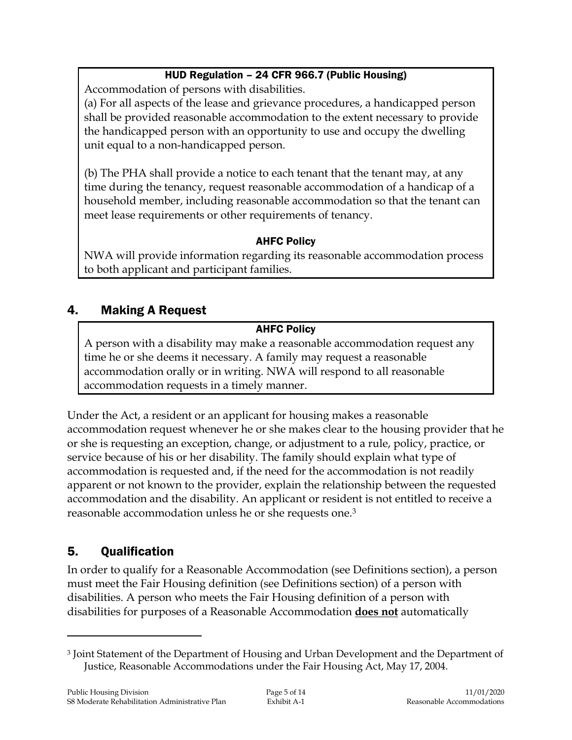## HUD Regulation – 24 CFR 966.7 (Public Housing)

Accommodation of persons with disabilities.

(a) For all aspects of the lease and grievance procedures, a handicapped person shall be provided reasonable accommodation to the extent necessary to provide the handicapped person with an opportunity to use and occupy the dwelling unit equal to a non-handicapped person.

(b) The PHA shall provide a notice to each tenant that the tenant may, at any time during the tenancy, request reasonable accommodation of a handicap of a household member, including reasonable accommodation so that the tenant can meet lease requirements or other requirements of tenancy.

## AHFC Policy

NWA will provide information regarding its reasonable accommodation process to both applicant and participant families.

## 4. Making A Request

## AHFC Policy

A person with a disability may make a reasonable accommodation request any time he or she deems it necessary. A family may request a reasonable accommodation orally or in writing. NWA will respond to all reasonable accommodation requests in a timely manner.

Under the Act, a resident or an applicant for housing makes a reasonable accommodation request whenever he or she makes clear to the housing provider that he or she is requesting an exception, change, or adjustment to a rule, policy, practice, or service because of his or her disability. The family should explain what type of accommodation is requested and, if the need for the accommodation is not readily apparent or not known to the provider, explain the relationship between the requested accommodation and the disability. An applicant or resident is not entitled to receive a reasonable accommodation unless he or she requests one.<sup>3</sup>

# 5. Qualification

 $\overline{a}$ 

In order to qualify for a Reasonable Accommodation (see Definitions section), a person must meet the Fair Housing definition (see Definitions section) of a person with disabilities. A person who meets the Fair Housing definition of a person with disabilities for purposes of a Reasonable Accommodation **does not** automatically

<sup>3</sup> Joint Statement of the Department of Housing and Urban Development and the Department of Justice, Reasonable Accommodations under the Fair Housing Act, May 17, 2004.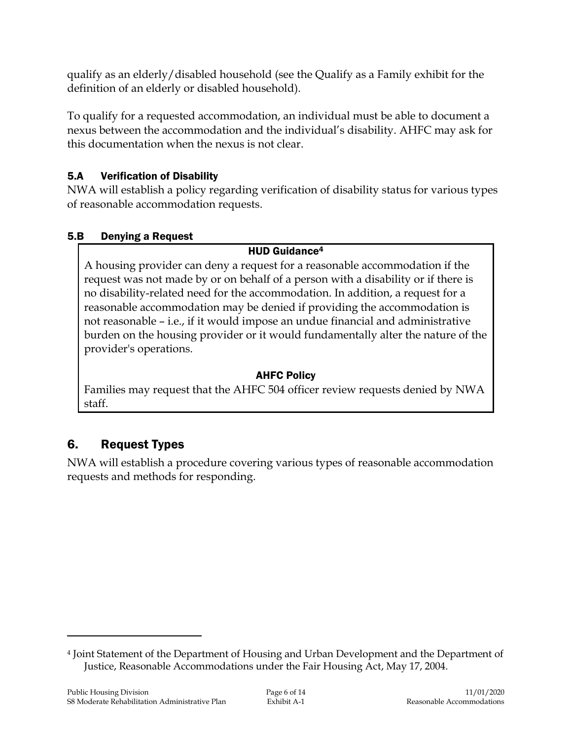qualify as an elderly/disabled household (see the Qualify as a Family exhibit for the definition of an elderly or disabled household).

To qualify for a requested accommodation, an individual must be able to document a nexus between the accommodation and the individual's disability. AHFC may ask for this documentation when the nexus is not clear.

## 5.A Verification of Disability

NWA will establish a policy regarding verification of disability status for various types of reasonable accommodation requests.

### 5.B Denying a Request

## HUD Guidance<sup>4</sup>

A housing provider can deny a request for a reasonable accommodation if the request was not made by or on behalf of a person with a disability or if there is no disability-related need for the accommodation. In addition, a request for a reasonable accommodation may be denied if providing the accommodation is not reasonable – i.e., if it would impose an undue financial and administrative burden on the housing provider or it would fundamentally alter the nature of the provider's operations.

## AHFC Policy

Families may request that the AHFC 504 officer review requests denied by NWA staff.

# 6. Request Types

NWA will establish a procedure covering various types of reasonable accommodation requests and methods for responding.

<sup>4</sup> Joint Statement of the Department of Housing and Urban Development and the Department of Justice, Reasonable Accommodations under the Fair Housing Act, May 17, 2004.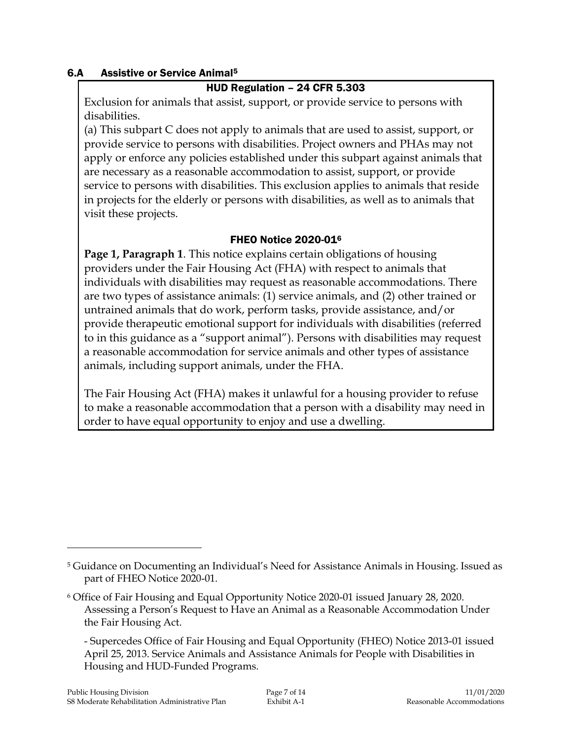#### 6.A Assistive or Service Animal<sup>5</sup>

#### HUD Regulation – 24 CFR 5.303

Exclusion for animals that assist, support, or provide service to persons with disabilities.

(a) This subpart C does not apply to animals that are used to assist, support, or provide service to persons with disabilities. Project owners and PHAs may not apply or enforce any policies established under this subpart against animals that are necessary as a reasonable accommodation to assist, support, or provide service to persons with disabilities. This exclusion applies to animals that reside in projects for the elderly or persons with disabilities, as well as to animals that visit these projects.

#### FHEO Notice 2020-01<sup>6</sup>

**Page 1, Paragraph 1**. This notice explains certain obligations of housing providers under the Fair Housing Act (FHA) with respect to animals that individuals with disabilities may request as reasonable accommodations. There are two types of assistance animals: (1) service animals, and (2) other trained or untrained animals that do work, perform tasks, provide assistance, and/or provide therapeutic emotional support for individuals with disabilities (referred to in this guidance as a "support animal"). Persons with disabilities may request a reasonable accommodation for service animals and other types of assistance animals, including support animals, under the FHA.

The Fair Housing Act (FHA) makes it unlawful for a housing provider to refuse to make a reasonable accommodation that a person with a disability may need in order to have equal opportunity to enjoy and use a dwelling.

<sup>5</sup> Guidance on Documenting an Individual's Need for Assistance Animals in Housing. Issued as part of FHEO Notice 2020-01.

<sup>6</sup> Office of Fair Housing and Equal Opportunity Notice 2020-01 issued January 28, 2020. Assessing a Person's Request to Have an Animal as a Reasonable Accommodation Under the Fair Housing Act.

<sup>-</sup> Supercedes Office of Fair Housing and Equal Opportunity (FHEO) Notice 2013-01 issued April 25, 2013. Service Animals and Assistance Animals for People with Disabilities in Housing and HUD-Funded Programs.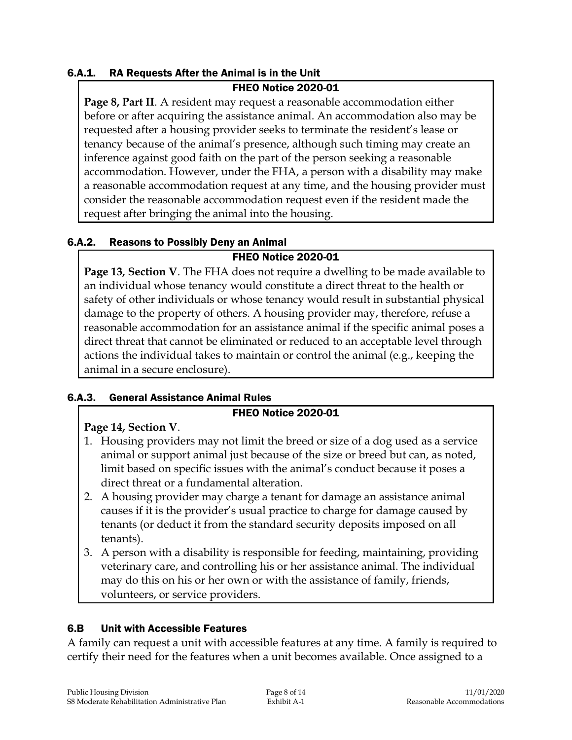#### 6.A.1. RA Requests After the Animal is in the Unit

#### FHEO Notice 2020-01

**Page 8, Part II**. A resident may request a reasonable accommodation either before or after acquiring the assistance animal. An accommodation also may be requested after a housing provider seeks to terminate the resident's lease or tenancy because of the animal's presence, although such timing may create an inference against good faith on the part of the person seeking a reasonable accommodation. However, under the FHA, a person with a disability may make a reasonable accommodation request at any time, and the housing provider must consider the reasonable accommodation request even if the resident made the request after bringing the animal into the housing.

## 6.A.2. Reasons to Possibly Deny an Animal

### FHEO Notice 2020-01

**Page 13, Section V**. The FHA does not require a dwelling to be made available to an individual whose tenancy would constitute a direct threat to the health or safety of other individuals or whose tenancy would result in substantial physical damage to the property of others. A housing provider may, therefore, refuse a reasonable accommodation for an assistance animal if the specific animal poses a direct threat that cannot be eliminated or reduced to an acceptable level through actions the individual takes to maintain or control the animal (e.g., keeping the animal in a secure enclosure).

## 6.A.3. General Assistance Animal Rules

#### FHEO Notice 2020-01

## **Page 14, Section V**.

- 1. Housing providers may not limit the breed or size of a dog used as a service animal or support animal just because of the size or breed but can, as noted, limit based on specific issues with the animal's conduct because it poses a direct threat or a fundamental alteration.
- 2. A housing provider may charge a tenant for damage an assistance animal causes if it is the provider's usual practice to charge for damage caused by tenants (or deduct it from the standard security deposits imposed on all tenants).
- 3. A person with a disability is responsible for feeding, maintaining, providing veterinary care, and controlling his or her assistance animal. The individual may do this on his or her own or with the assistance of family, friends, volunteers, or service providers.

## 6.B Unit with Accessible Features

A family can request a unit with accessible features at any time. A family is required to certify their need for the features when a unit becomes available. Once assigned to a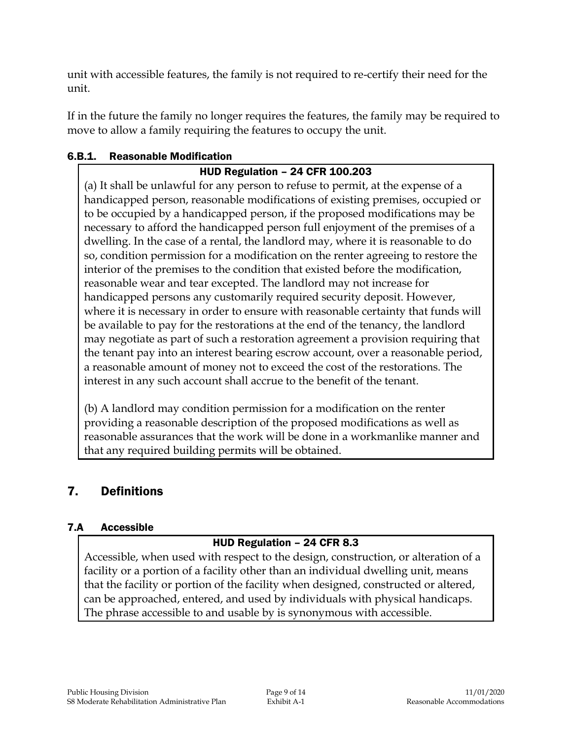unit with accessible features, the family is not required to re-certify their need for the unit.

If in the future the family no longer requires the features, the family may be required to move to allow a family requiring the features to occupy the unit.

## 6.B.1. Reasonable Modification

## HUD Regulation – 24 CFR 100.203

(a) It shall be unlawful for any person to refuse to permit, at the expense of a handicapped person, reasonable modifications of existing premises, occupied or to be occupied by a handicapped person, if the proposed modifications may be necessary to afford the handicapped person full enjoyment of the premises of a dwelling. In the case of a rental, the landlord may, where it is reasonable to do so, condition permission for a modification on the renter agreeing to restore the interior of the premises to the condition that existed before the modification, reasonable wear and tear excepted. The landlord may not increase for handicapped persons any customarily required security deposit. However, where it is necessary in order to ensure with reasonable certainty that funds will be available to pay for the restorations at the end of the tenancy, the landlord may negotiate as part of such a restoration agreement a provision requiring that the tenant pay into an interest bearing escrow account, over a reasonable period, a reasonable amount of money not to exceed the cost of the restorations. The interest in any such account shall accrue to the benefit of the tenant.

(b) A landlord may condition permission for a modification on the renter providing a reasonable description of the proposed modifications as well as reasonable assurances that the work will be done in a workmanlike manner and that any required building permits will be obtained.

# 7. Definitions

## 7.A Accessible

## HUD Regulation – 24 CFR 8.3

Accessible, when used with respect to the design, construction, or alteration of a facility or a portion of a facility other than an individual dwelling unit, means that the facility or portion of the facility when designed, constructed or altered, can be approached, entered, and used by individuals with physical handicaps. The phrase accessible to and usable by is synonymous with accessible.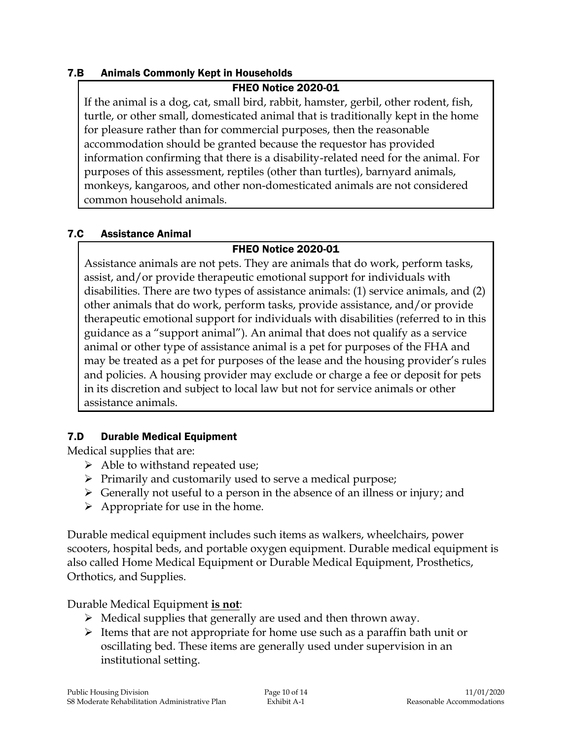#### 7.B Animals Commonly Kept in Households

#### FHEO Notice 2020-01

If the animal is a dog, cat, small bird, rabbit, hamster, gerbil, other rodent, fish, turtle, or other small, domesticated animal that is traditionally kept in the home for pleasure rather than for commercial purposes, then the reasonable accommodation should be granted because the requestor has provided information confirming that there is a disability-related need for the animal. For purposes of this assessment, reptiles (other than turtles), barnyard animals, monkeys, kangaroos, and other non-domesticated animals are not considered common household animals.

#### 7.C Assistance Animal

## FHEO Notice 2020-01

Assistance animals are not pets. They are animals that do work, perform tasks, assist, and/or provide therapeutic emotional support for individuals with disabilities. There are two types of assistance animals: (1) service animals, and (2) other animals that do work, perform tasks, provide assistance, and/or provide therapeutic emotional support for individuals with disabilities (referred to in this guidance as a "support animal"). An animal that does not qualify as a service animal or other type of assistance animal is a pet for purposes of the FHA and may be treated as a pet for purposes of the lease and the housing provider's rules and policies. A housing provider may exclude or charge a fee or deposit for pets in its discretion and subject to local law but not for service animals or other assistance animals.

## 7.D Durable Medical Equipment

Medical supplies that are:

- $\triangleright$  Able to withstand repeated use;
- $\triangleright$  Primarily and customarily used to serve a medical purpose;
- $\triangleright$  Generally not useful to a person in the absence of an illness or injury; and
- $\triangleright$  Appropriate for use in the home.

Durable medical equipment includes such items as walkers, wheelchairs, power scooters, hospital beds, and portable oxygen equipment. Durable medical equipment is also called Home Medical Equipment or Durable Medical Equipment, Prosthetics, Orthotics, and Supplies.

## Durable Medical Equipment **is not**:

- $\triangleright$  Medical supplies that generally are used and then thrown away.
- $\triangleright$  Items that are not appropriate for home use such as a paraffin bath unit or oscillating bed. These items are generally used under supervision in an institutional setting.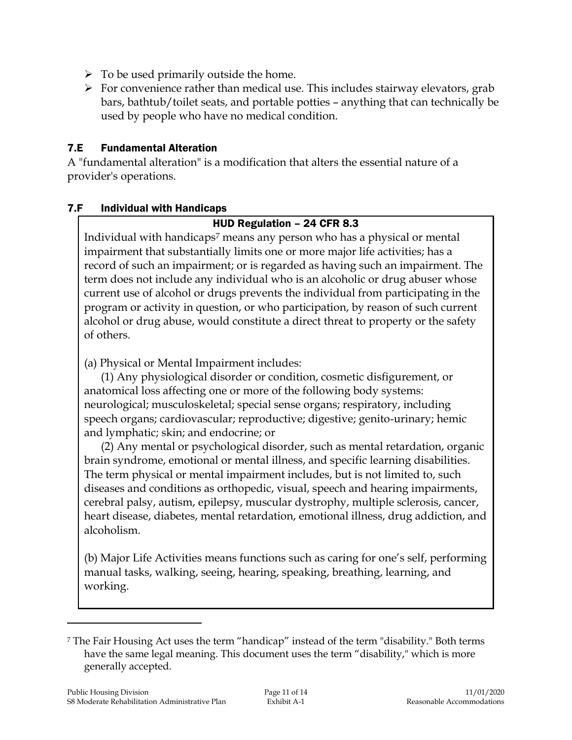- $\triangleright$  To be used primarily outside the home.
- $\triangleright$  For convenience rather than medical use. This includes stairway elevators, grab bars, bathtub/toilet seats, and portable potties – anything that can technically be used by people who have no medical condition.

### 7.E Fundamental Alteration

A "fundamental alteration" is a modification that alters the essential nature of a provider's operations.

#### 7.F Individual with Handicaps

## HUD Regulation – 24 CFR 8.3

Individual with handicaps<sup>7</sup> means any person who has a physical or mental impairment that substantially limits one or more major life activities; has a record of such an impairment; or is regarded as having such an impairment. The term does not include any individual who is an alcoholic or drug abuser whose current use of alcohol or drugs prevents the individual from participating in the program or activity in question, or who participation, by reason of such current alcohol or drug abuse, would constitute a direct threat to property or the safety of others.

(a) Physical or Mental Impairment includes:

(1) Any physiological disorder or condition, cosmetic disfigurement, or anatomical loss affecting one or more of the following body systems: neurological; musculoskeletal; special sense organs; respiratory, including speech organs; cardiovascular; reproductive; digestive; genito-urinary; hemic and lymphatic; skin; and endocrine; or

(2) Any mental or psychological disorder, such as mental retardation, organic brain syndrome, emotional or mental illness, and specific learning disabilities. The term physical or mental impairment includes, but is not limited to, such diseases and conditions as orthopedic, visual, speech and hearing impairments, cerebral palsy, autism, epilepsy, muscular dystrophy, multiple sclerosis, cancer, heart disease, diabetes, mental retardation, emotional illness, drug addiction, and alcoholism.

(b) Major Life Activities means functions such as caring for one's self, performing manual tasks, walking, seeing, hearing, speaking, breathing, learning, and working.

<sup>7</sup> The Fair Housing Act uses the term "handicap" instead of the term "disability." Both terms have the same legal meaning. This document uses the term "disability," which is more generally accepted.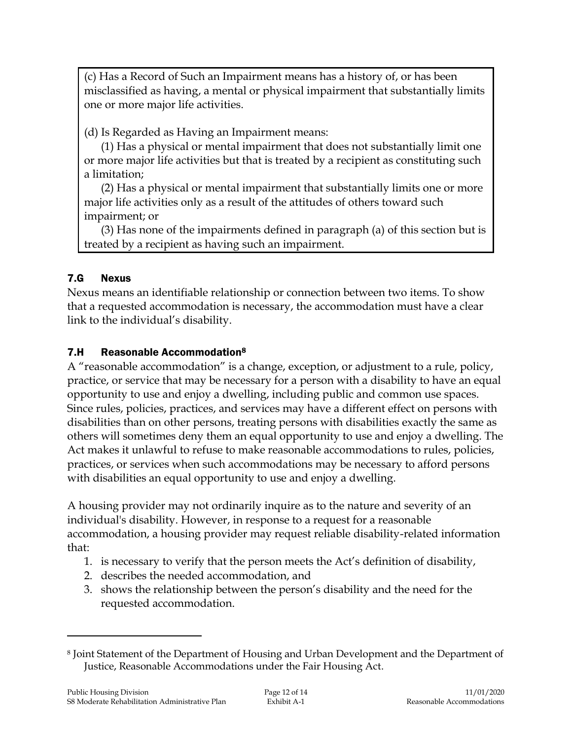(c) Has a Record of Such an Impairment means has a history of, or has been misclassified as having, a mental or physical impairment that substantially limits one or more major life activities.

(d) Is Regarded as Having an Impairment means:

(1) Has a physical or mental impairment that does not substantially limit one or more major life activities but that is treated by a recipient as constituting such a limitation;

(2) Has a physical or mental impairment that substantially limits one or more major life activities only as a result of the attitudes of others toward such impairment; or

(3) Has none of the impairments defined in paragraph (a) of this section but is treated by a recipient as having such an impairment.

## 7.G Nexus

Nexus means an identifiable relationship or connection between two items. To show that a requested accommodation is necessary, the accommodation must have a clear link to the individual's disability.

### 7.H Reasonable Accommodation<sup>8</sup>

A "reasonable accommodation" is a change, exception, or adjustment to a rule, policy, practice, or service that may be necessary for a person with a disability to have an equal opportunity to use and enjoy a dwelling, including public and common use spaces. Since rules, policies, practices, and services may have a different effect on persons with disabilities than on other persons, treating persons with disabilities exactly the same as others will sometimes deny them an equal opportunity to use and enjoy a dwelling. The Act makes it unlawful to refuse to make reasonable accommodations to rules, policies, practices, or services when such accommodations may be necessary to afford persons with disabilities an equal opportunity to use and enjoy a dwelling.

A housing provider may not ordinarily inquire as to the nature and severity of an individual's disability. However, in response to a request for a reasonable accommodation, a housing provider may request reliable disability-related information that:

- 1. is necessary to verify that the person meets the Act's definition of disability,
- 2. describes the needed accommodation, and
- 3. shows the relationship between the person's disability and the need for the requested accommodation.

<sup>8</sup> Joint Statement of the Department of Housing and Urban Development and the Department of Justice, Reasonable Accommodations under the Fair Housing Act.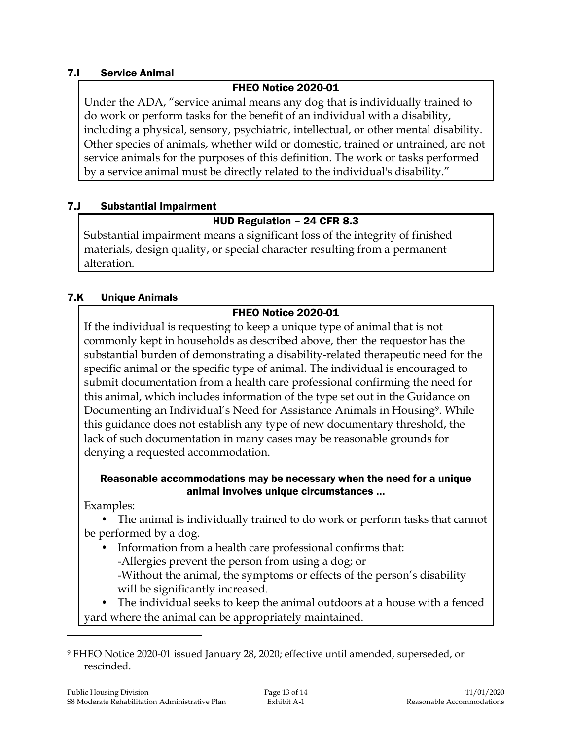#### 7.I Service Animal

#### FHEO Notice 2020-01

Under the ADA, "service animal means any dog that is individually trained to do work or perform tasks for the benefit of an individual with a disability, including a physical, sensory, psychiatric, intellectual, or other mental disability. Other species of animals, whether wild or domestic, trained or untrained, are not service animals for the purposes of this definition. The work or tasks performed by a service animal must be directly related to the individual's disability."

#### 7.J Substantial Impairment

## HUD Regulation – 24 CFR 8.3

Substantial impairment means a significant loss of the integrity of finished materials, design quality, or special character resulting from a permanent alteration.

#### 7.K Unique Animals

### FHEO Notice 2020-01

If the individual is requesting to keep a unique type of animal that is not commonly kept in households as described above, then the requestor has the substantial burden of demonstrating a disability-related therapeutic need for the specific animal or the specific type of animal. The individual is encouraged to submit documentation from a health care professional confirming the need for this animal, which includes information of the type set out in the Guidance on Documenting an Individual's Need for Assistance Animals in Housing<sup>9</sup>. While this guidance does not establish any type of new documentary threshold, the lack of such documentation in many cases may be reasonable grounds for denying a requested accommodation.

#### Reasonable accommodations may be necessary when the need for a unique animal involves unique circumstances …

Examples:

 $\overline{a}$ 

• The animal is individually trained to do work or perform tasks that cannot be performed by a dog.

• Information from a health care professional confirms that: -Allergies prevent the person from using a dog; or -Without the animal, the symptoms or effects of the person's disability will be significantly increased.

• The individual seeks to keep the animal outdoors at a house with a fenced yard where the animal can be appropriately maintained.

<sup>9</sup> FHEO Notice 2020-01 issued January 28, 2020; effective until amended, superseded, or rescinded.